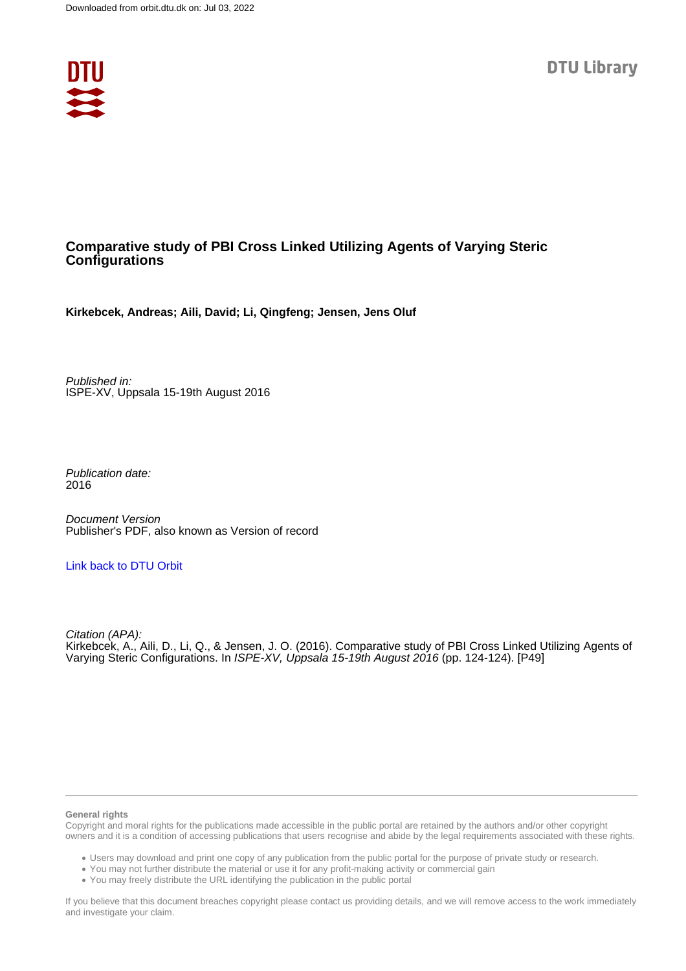

# **Comparative study of PBI Cross Linked Utilizing Agents of Varying Steric Configurations**

**Kirkebcek, Andreas; Aili, David; Li, Qingfeng; Jensen, Jens Oluf**

Published in: ISPE-XV, Uppsala 15-19th August 2016

Publication date: 2016

Document Version Publisher's PDF, also known as Version of record

## [Link back to DTU Orbit](https://orbit.dtu.dk/en/publications/92d376d3-5101-4cd8-968d-55f6b9d5066b)

Citation (APA): Kirkebcek, A., Aili, D., Li, Q., & Jensen, J. O. (2016). Comparative study of PBI Cross Linked Utilizing Agents of Varying Steric Configurations. In ISPE-XV, Uppsala 15-19th August 2016 (pp. 124-124). [P49]

#### **General rights**

Copyright and moral rights for the publications made accessible in the public portal are retained by the authors and/or other copyright owners and it is a condition of accessing publications that users recognise and abide by the legal requirements associated with these rights.

Users may download and print one copy of any publication from the public portal for the purpose of private study or research.

- You may not further distribute the material or use it for any profit-making activity or commercial gain
- You may freely distribute the URL identifying the publication in the public portal

If you believe that this document breaches copyright please contact us providing details, and we will remove access to the work immediately and investigate your claim.